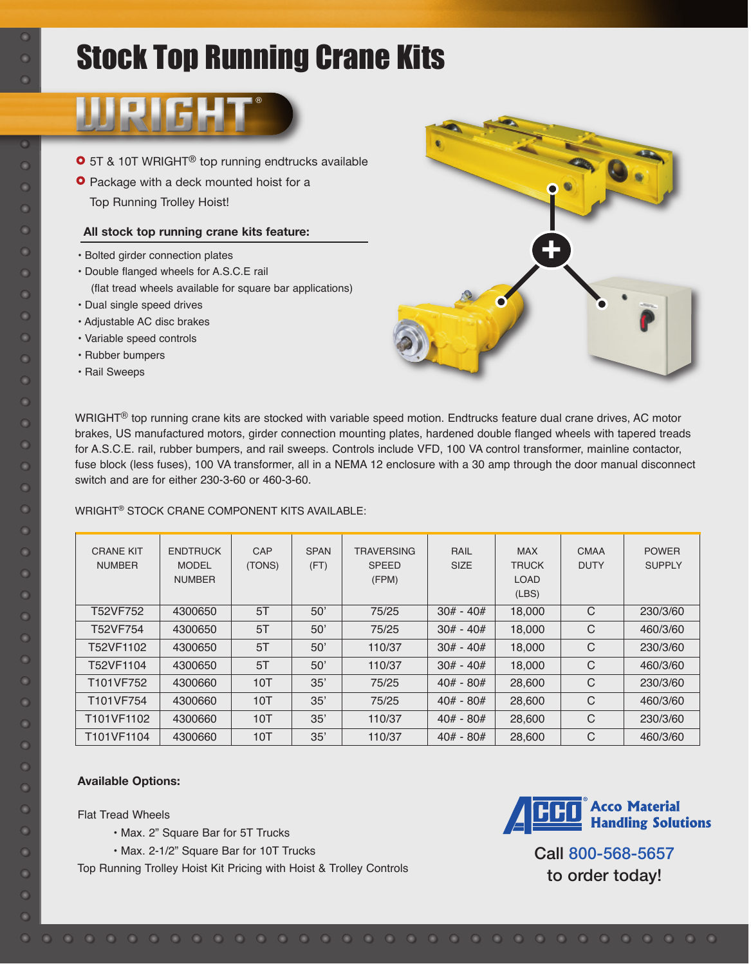# Stock Top Running Crane Kits



- **O** 5T & 10T WRIGHT<sup>®</sup> top running endtrucks available
- **O** Package with a deck mounted hoist for a Top Running Trolley Hoist!

### **All stock top running crane kits feature:**

- Bolted girder connection plates
- Double flanged wheels for A.S.C.E rail (flat tread wheels available for square bar applications)
- Dual single speed drives
- Adjustable AC disc brakes
- Variable speed controls
- Rubber bumpers
- Rail Sweeps



WRIGHT® top running crane kits are stocked with variable speed motion. Endtrucks feature dual crane drives, AC motor brakes, US manufactured motors, girder connection mounting plates, hardened double flanged wheels with tapered treads for A.S.C.E. rail, rubber bumpers, and rail sweeps. Controls include VFD, 100 VA control transformer, mainline contactor, fuse block (less fuses), 100 VA transformer, all in a NEMA 12 enclosure with a 30 amp through the door manual disconnect switch and are for either 230-3-60 or 460-3-60.

WRIGHT® STOCK CRANE COMPONENT KITS AVAILABLE:

| <b>CRANE KIT</b><br><b>NUMBER</b> | <b>ENDTRUCK</b><br><b>MODEL</b><br><b>NUMBER</b> | CAP<br>(TONS) | <b>SPAN</b><br>(FT) | <b>TRAVERSING</b><br><b>SPEED</b><br>(FPM) | RAIL<br><b>SIZE</b> | <b>MAX</b><br><b>TRUCK</b><br><b>LOAD</b><br>(LES) | <b>CMAA</b><br><b>DUTY</b> | <b>POWER</b><br><b>SUPPLY</b> |
|-----------------------------------|--------------------------------------------------|---------------|---------------------|--------------------------------------------|---------------------|----------------------------------------------------|----------------------------|-------------------------------|
| T52VF752                          | 4300650                                          | 5T            | 50'                 | 75/25                                      | $30# - 40#$         | 18,000                                             | C                          | 230/3/60                      |
| T52VF754                          | 4300650                                          | 5T            | 50'                 | 75/25                                      | $30# - 40#$         | 18,000                                             | C                          | 460/3/60                      |
| T52VF1102                         | 4300650                                          | 5T            | 50'                 | 110/37                                     | $30# - 40#$         | 18,000                                             | C                          | 230/3/60                      |
| T52VF1104                         | 4300650                                          | 5T            | 50'                 | 110/37                                     | $30# - 40#$         | 18,000                                             | $\mathbf C$                | 460/3/60                      |
| T101VF752                         | 4300660                                          | 10T           | 35'                 | 75/25                                      | $40# - 80#$         | 28,600                                             | C                          | 230/3/60                      |
| T101VF754                         | 4300660                                          | 10T           | 35'                 | 75/25                                      | $40# - 80#$         | 28,600                                             | C                          | 460/3/60                      |
| T101VF1102                        | 4300660                                          | 10T           | 35'                 | 110/37                                     | $40# - 80#$         | 28,600                                             | C                          | 230/3/60                      |
| T101VF1104                        | 4300660                                          | 10T           | 35'                 | 110/37                                     | $40# - 80#$         | 28,600                                             | $\mathcal{C}$              | 460/3/60                      |

### **Available Options:**

Flat Tread Wheels

- Max. 2" Square Bar for 5T Trucks
- Max. 2-1/2" Square Bar for 10T Trucks

Top Running Trolley Hoist Kit Pricing with Hoist & Trolley Controls



Call 800-568-5657 to order today!

 $\overline{O}$  $\bullet$